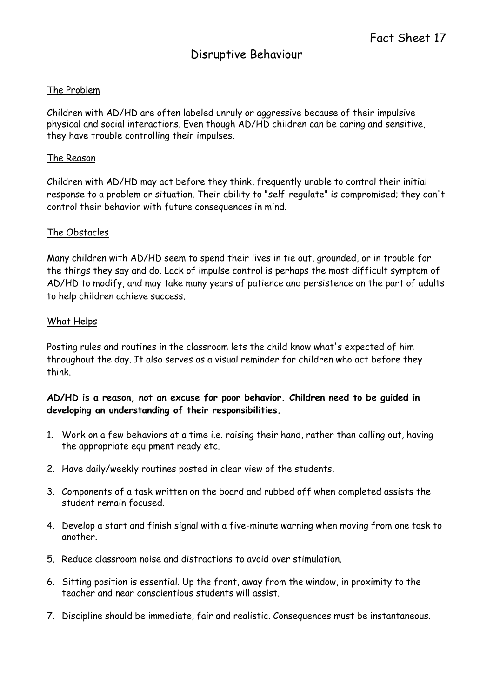## The Problem

Children with AD/HD are often labeled unruly or aggressive because of their impulsive physical and social interactions. Even though AD/HD children can be caring and sensitive, they have trouble controlling their impulses.

### The Reason

Children with AD/HD may act before they think, frequently unable to control their initial response to a problem or situation. Their ability to "self-regulate" is compromised; they can't control their behavior with future consequences in mind.

### The Obstacles

Many children with AD/HD seem to spend their lives in tie out, grounded, or in trouble for the things they say and do. Lack of impulse control is perhaps the most difficult symptom of AD/HD to modify, and may take many years of patience and persistence on the part of adults to help children achieve success.

### What Helps

Posting rules and routines in the classroom lets the child know what's expected of him throughout the day. It also serves as a visual reminder for children who act before they think.

### AD/HD is a reason, not an excuse for poor behavior. Children need to be guided in developing an understanding of their responsibilities.

- 1. Work on a few behaviors at a time i.e. raising their hand, rather than calling out, having the appropriate equipment ready etc.
- 2. Have daily/weekly routines posted in clear view of the students.
- 3. Components of a task written on the board and rubbed off when completed assists the student remain focused.
- 4. Develop a start and finish signal with a five-minute warning when moving from one task to another.
- 5. Reduce classroom noise and distractions to avoid over stimulation.
- 6. Sitting position is essential. Up the front, away from the window, in proximity to the teacher and near conscientious students will assist.
- 7. Discipline should be immediate, fair and realistic. Consequences must be instantaneous.